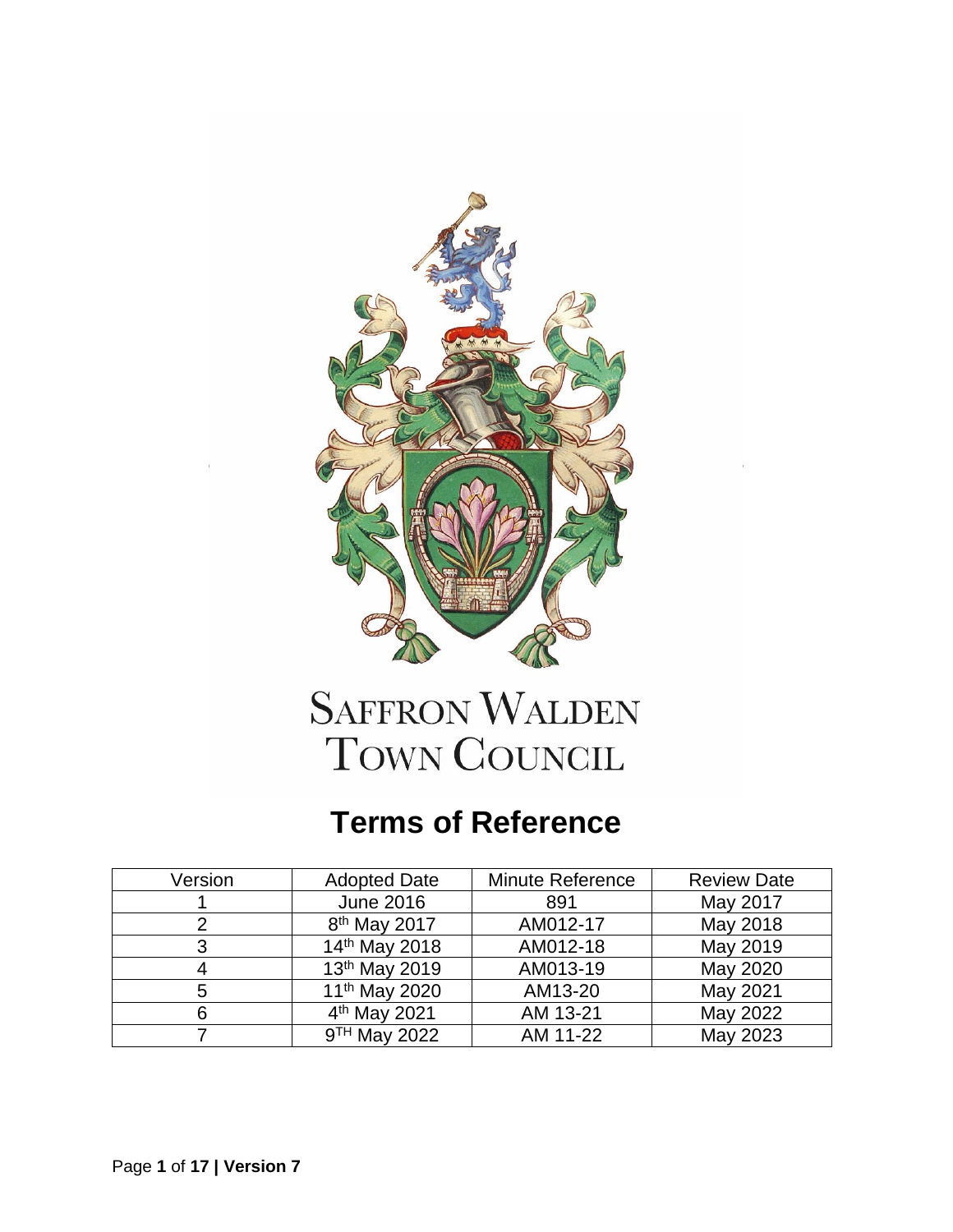

# **SAFFRON WALDEN** TOWN COUNCIL

## **Terms of Reference**

| Version | <b>Adopted Date</b>       | Minute Reference | <b>Review Date</b> |
|---------|---------------------------|------------------|--------------------|
|         | <b>June 2016</b>          | 891              | May 2017           |
|         | 8 <sup>th</sup> May 2017  | AM012-17         | May 2018           |
| 3       | 14th May 2018             | AM012-18         | May 2019           |
|         | 13th May 2019             | AM013-19         | May 2020           |
| 5       | 11 <sup>th</sup> May 2020 | AM13-20          | May 2021           |
| 6       | 4 <sup>th</sup> May 2021  | AM 13-21         | May 2022           |
|         | 9 <sup>TH</sup> May 2022  | AM 11-22         | May 2023           |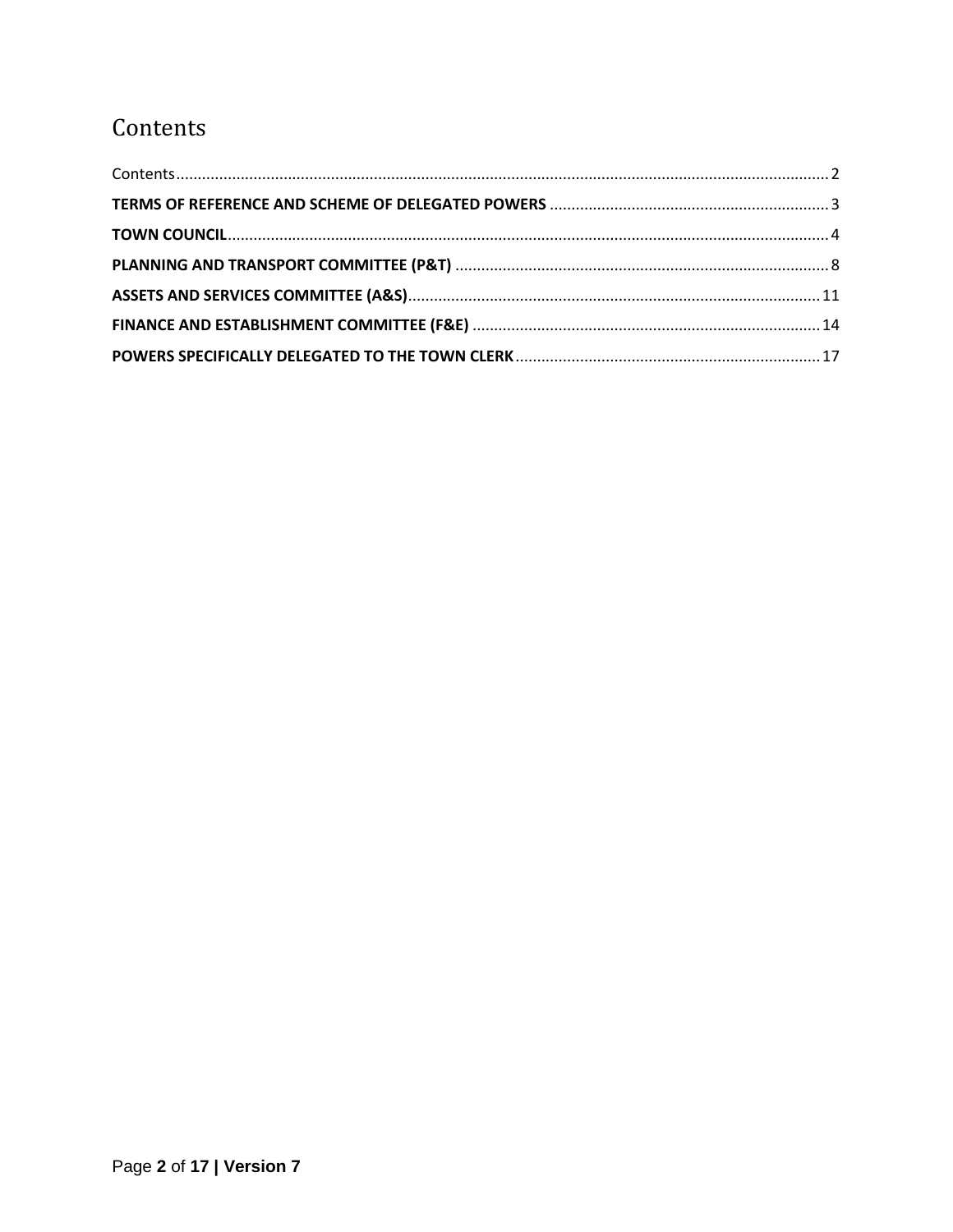### <span id="page-1-0"></span>Contents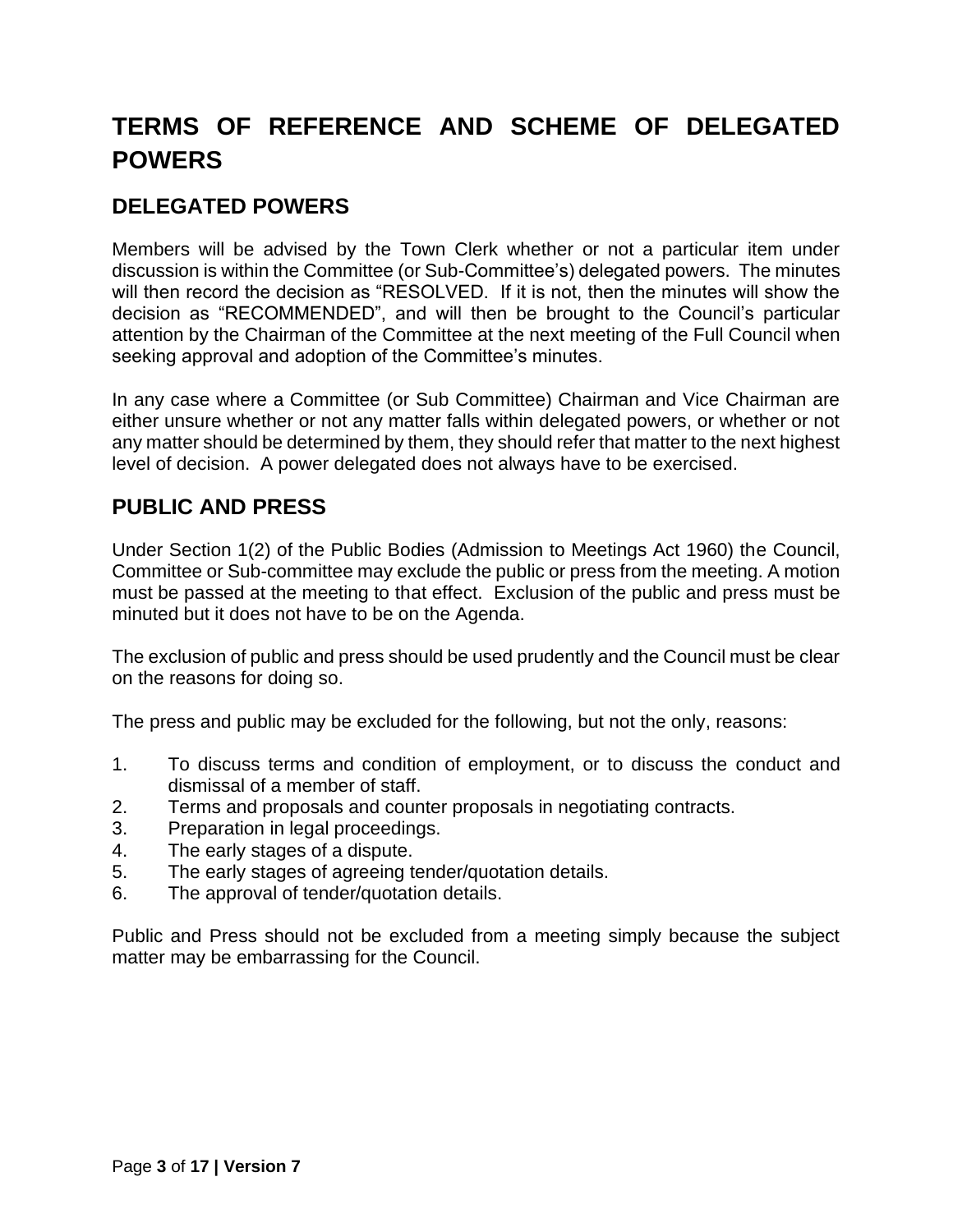### <span id="page-2-0"></span>**TERMS OF REFERENCE AND SCHEME OF DELEGATED POWERS**

#### **DELEGATED POWERS**

Members will be advised by the Town Clerk whether or not a particular item under discussion is within the Committee (or Sub-Committee's) delegated powers. The minutes will then record the decision as "RESOLVED. If it is not, then the minutes will show the decision as "RECOMMENDED", and will then be brought to the Council's particular attention by the Chairman of the Committee at the next meeting of the Full Council when seeking approval and adoption of the Committee's minutes.

In any case where a Committee (or Sub Committee) Chairman and Vice Chairman are either unsure whether or not any matter falls within delegated powers, or whether or not any matter should be determined by them, they should refer that matter to the next highest level of decision. A power delegated does not always have to be exercised.

#### **PUBLIC AND PRESS**

Under Section 1(2) of the Public Bodies (Admission to Meetings Act 1960) the Council, Committee or Sub-committee may exclude the public or press from the meeting. A motion must be passed at the meeting to that effect. Exclusion of the public and press must be minuted but it does not have to be on the Agenda.

The exclusion of public and press should be used prudently and the Council must be clear on the reasons for doing so.

The press and public may be excluded for the following, but not the only, reasons:

- 1. To discuss terms and condition of employment, or to discuss the conduct and dismissal of a member of staff.
- 2. Terms and proposals and counter proposals in negotiating contracts.
- 3. Preparation in legal proceedings.
- 4. The early stages of a dispute.
- 5. The early stages of agreeing tender/quotation details.
- 6. The approval of tender/quotation details.

Public and Press should not be excluded from a meeting simply because the subject matter may be embarrassing for the Council.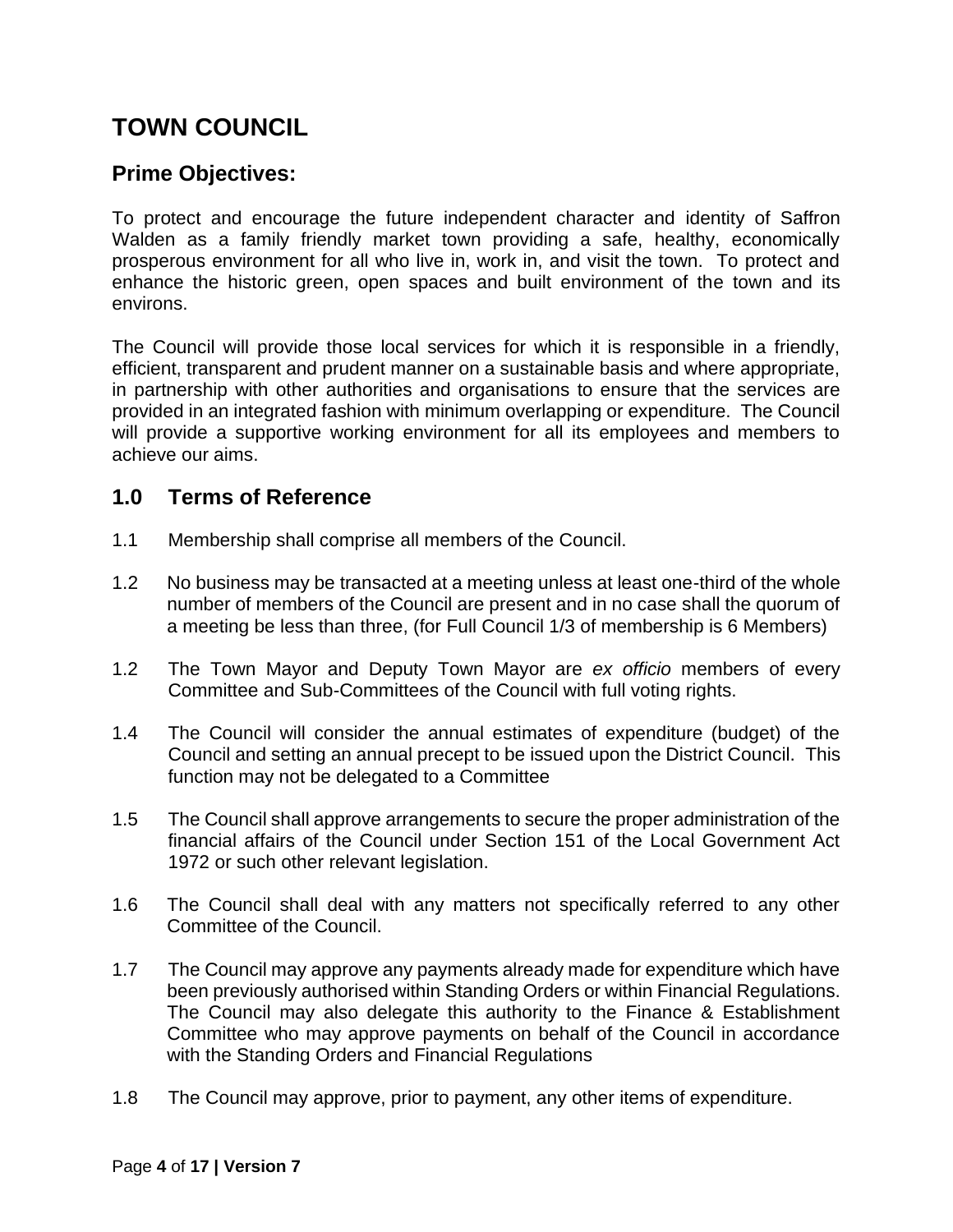### <span id="page-3-0"></span>**TOWN COUNCIL**

#### **Prime Objectives:**

To protect and encourage the future independent character and identity of Saffron Walden as a family friendly market town providing a safe, healthy, economically prosperous environment for all who live in, work in, and visit the town. To protect and enhance the historic green, open spaces and built environment of the town and its environs.

The Council will provide those local services for which it is responsible in a friendly, efficient, transparent and prudent manner on a sustainable basis and where appropriate, in partnership with other authorities and organisations to ensure that the services are provided in an integrated fashion with minimum overlapping or expenditure. The Council will provide a supportive working environment for all its employees and members to achieve our aims.

#### **1.0 Terms of Reference**

- 1.1 Membership shall comprise all members of the Council.
- 1.2 No business may be transacted at a meeting unless at least one-third of the whole number of members of the Council are present and in no case shall the quorum of a meeting be less than three, (for Full Council 1/3 of membership is 6 Members)
- 1.2 The Town Mayor and Deputy Town Mayor are *ex officio* members of every Committee and Sub-Committees of the Council with full voting rights.
- 1.4 The Council will consider the annual estimates of expenditure (budget) of the Council and setting an annual precept to be issued upon the District Council. This function may not be delegated to a Committee
- 1.5 The Council shall approve arrangements to secure the proper administration of the financial affairs of the Council under Section 151 of the Local Government Act 1972 or such other relevant legislation.
- 1.6 The Council shall deal with any matters not specifically referred to any other Committee of the Council.
- 1.7 The Council may approve any payments already made for expenditure which have been previously authorised within Standing Orders or within Financial Regulations. The Council may also delegate this authority to the Finance & Establishment Committee who may approve payments on behalf of the Council in accordance with the Standing Orders and Financial Regulations
- 1.8 The Council may approve, prior to payment, any other items of expenditure.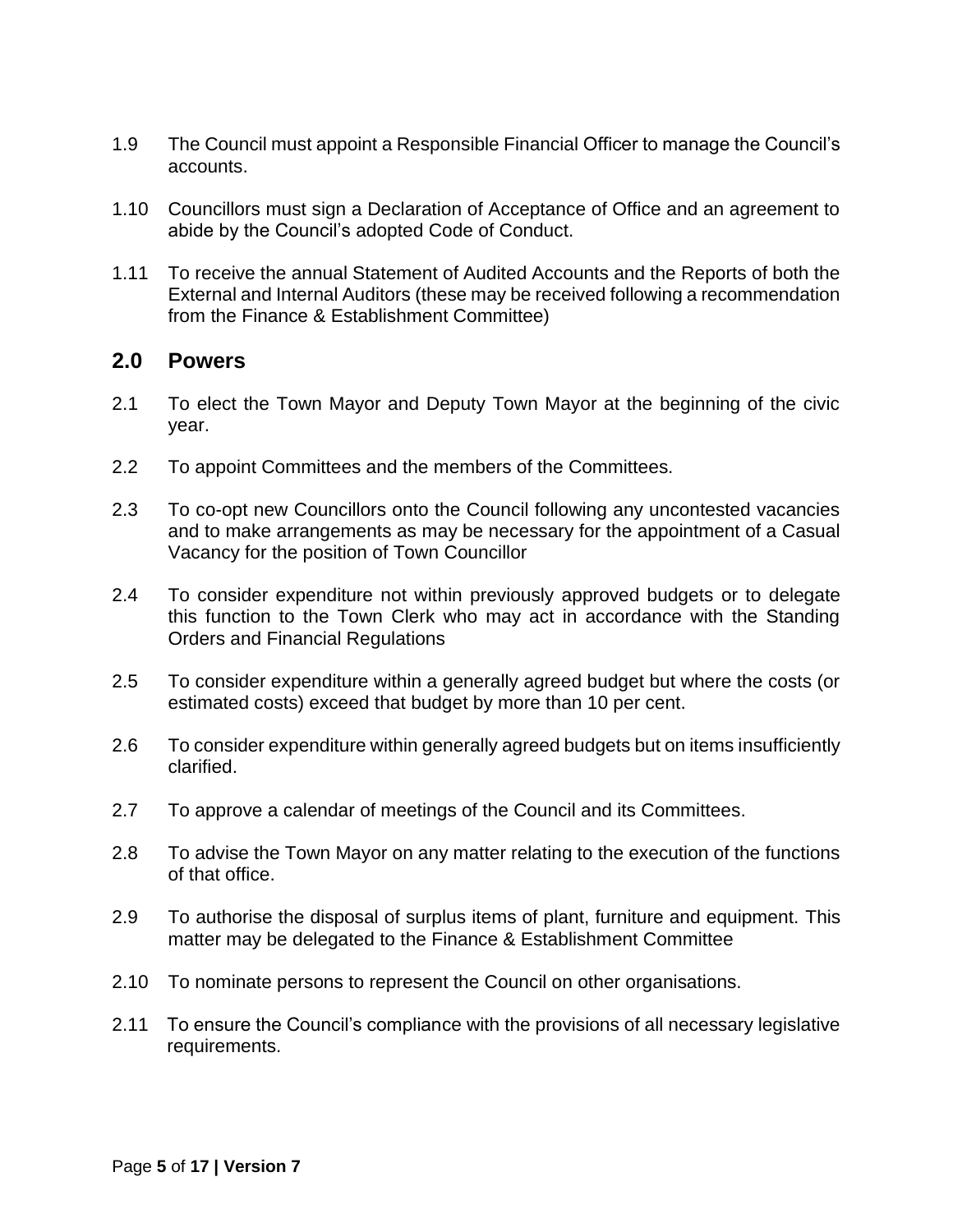- 1.9 The Council must appoint a Responsible Financial Officer to manage the Council's accounts.
- 1.10 Councillors must sign a Declaration of Acceptance of Office and an agreement to abide by the Council's adopted Code of Conduct.
- 1.11 To receive the annual Statement of Audited Accounts and the Reports of both the External and Internal Auditors (these may be received following a recommendation from the Finance & Establishment Committee)

#### **2.0 Powers**

- 2.1 To elect the Town Mayor and Deputy Town Mayor at the beginning of the civic year.
- 2.2 To appoint Committees and the members of the Committees.
- 2.3 To co-opt new Councillors onto the Council following any uncontested vacancies and to make arrangements as may be necessary for the appointment of a Casual Vacancy for the position of Town Councillor
- 2.4 To consider expenditure not within previously approved budgets or to delegate this function to the Town Clerk who may act in accordance with the Standing Orders and Financial Regulations
- 2.5 To consider expenditure within a generally agreed budget but where the costs (or estimated costs) exceed that budget by more than 10 per cent.
- 2.6 To consider expenditure within generally agreed budgets but on items insufficiently clarified.
- 2.7 To approve a calendar of meetings of the Council and its Committees.
- 2.8 To advise the Town Mayor on any matter relating to the execution of the functions of that office.
- 2.9 To authorise the disposal of surplus items of plant, furniture and equipment. This matter may be delegated to the Finance & Establishment Committee
- 2.10 To nominate persons to represent the Council on other organisations.
- 2.11 To ensure the Council's compliance with the provisions of all necessary legislative requirements.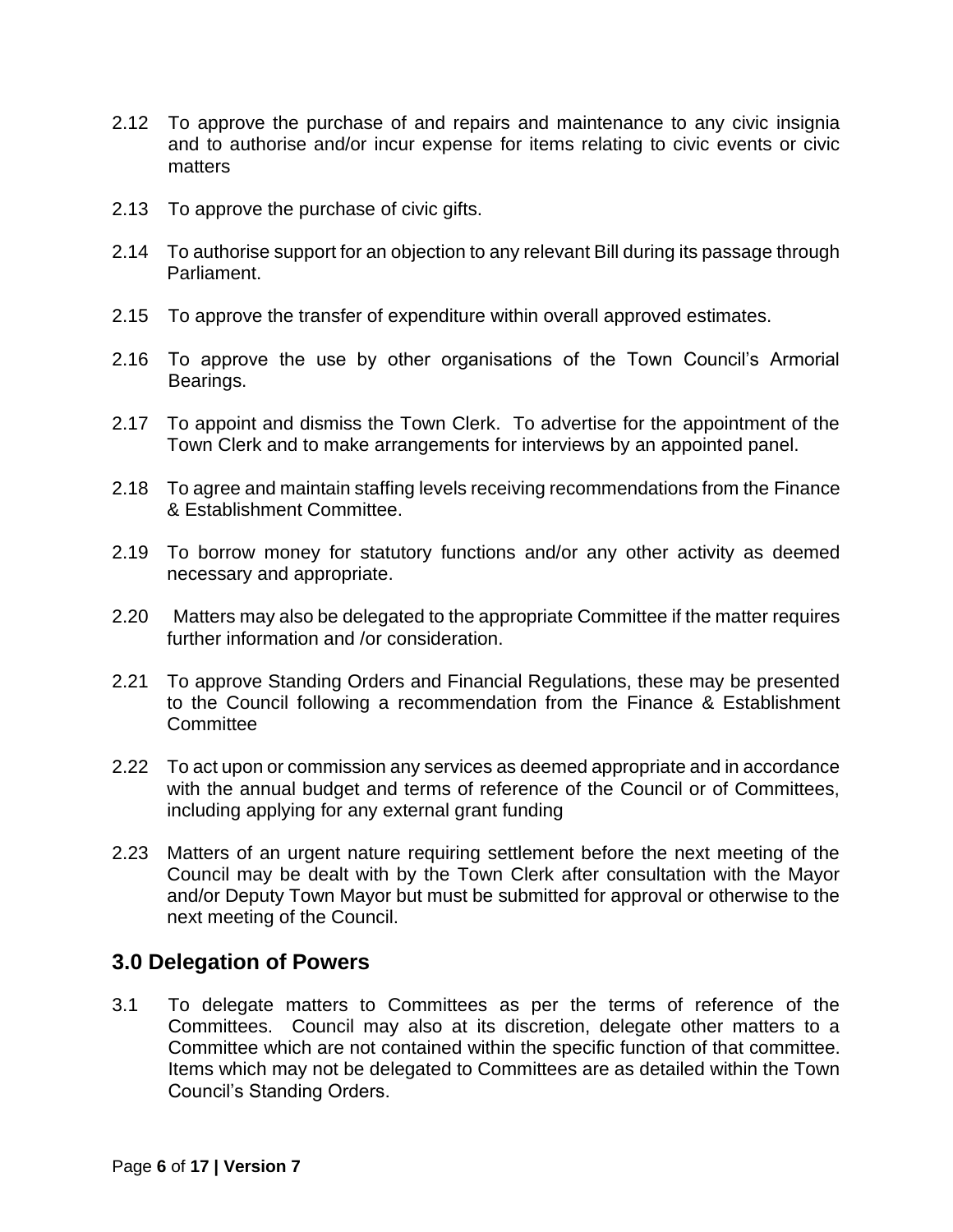- 2.12 To approve the purchase of and repairs and maintenance to any civic insignia and to authorise and/or incur expense for items relating to civic events or civic matters
- 2.13 To approve the purchase of civic gifts.
- 2.14 To authorise support for an objection to any relevant Bill during its passage through Parliament.
- 2.15 To approve the transfer of expenditure within overall approved estimates.
- 2.16 To approve the use by other organisations of the Town Council's Armorial Bearings.
- 2.17 To appoint and dismiss the Town Clerk. To advertise for the appointment of the Town Clerk and to make arrangements for interviews by an appointed panel.
- 2.18 To agree and maintain staffing levels receiving recommendations from the Finance & Establishment Committee.
- 2.19 To borrow money for statutory functions and/or any other activity as deemed necessary and appropriate.
- 2.20 Matters may also be delegated to the appropriate Committee if the matter requires further information and /or consideration.
- 2.21 To approve Standing Orders and Financial Regulations, these may be presented to the Council following a recommendation from the Finance & Establishment **Committee**
- 2.22 To act upon or commission any services as deemed appropriate and in accordance with the annual budget and terms of reference of the Council or of Committees, including applying for any external grant funding
- 2.23 Matters of an urgent nature requiring settlement before the next meeting of the Council may be dealt with by the Town Clerk after consultation with the Mayor and/or Deputy Town Mayor but must be submitted for approval or otherwise to the next meeting of the Council.

3.1 To delegate matters to Committees as per the terms of reference of the Committees. Council may also at its discretion, delegate other matters to a Committee which are not contained within the specific function of that committee. Items which may not be delegated to Committees are as detailed within the Town Council's Standing Orders.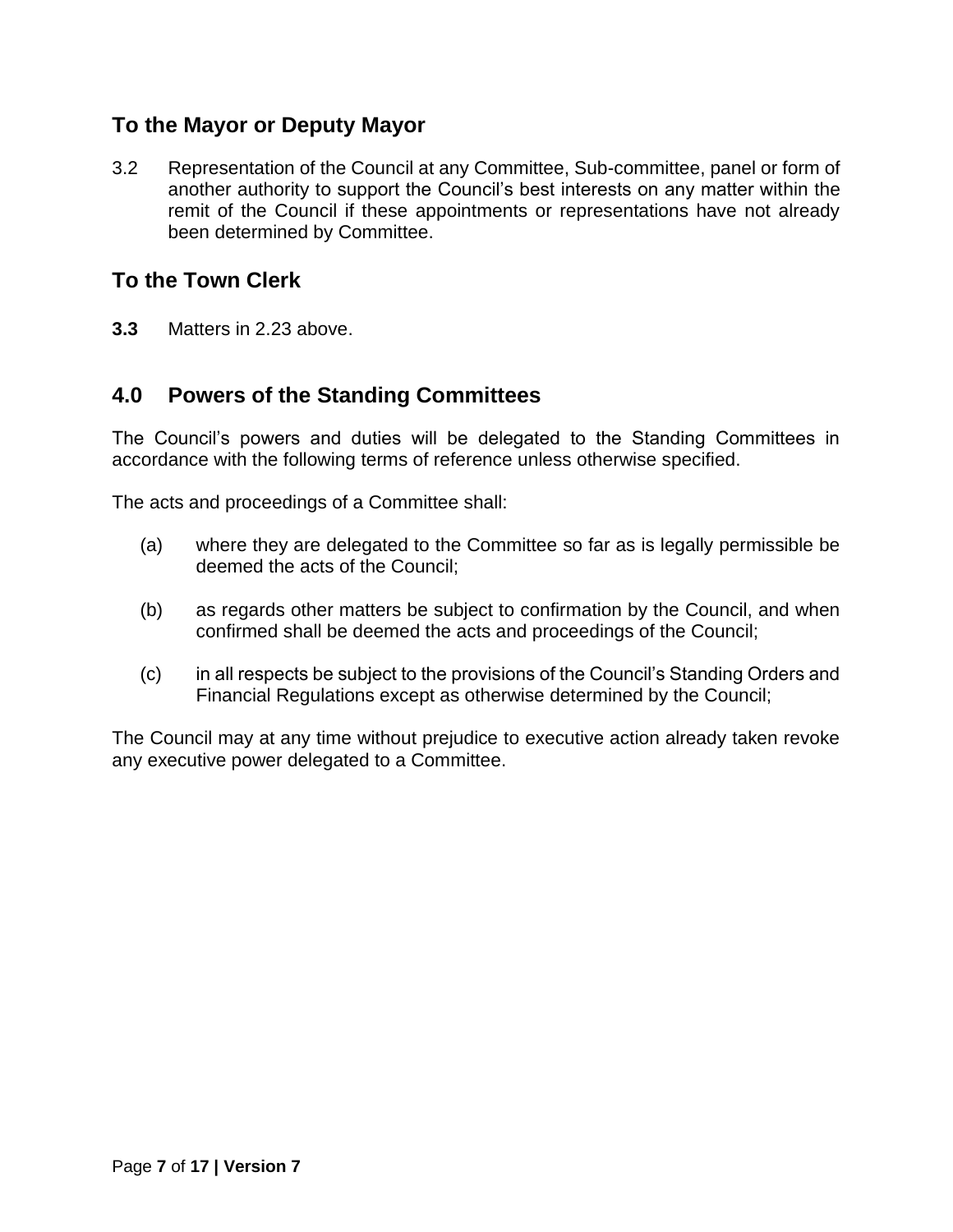#### **To the Mayor or Deputy Mayor**

3.2 Representation of the Council at any Committee, Sub-committee, panel or form of another authority to support the Council's best interests on any matter within the remit of the Council if these appointments or representations have not already been determined by Committee.

#### **To the Town Clerk**

**3.3** Matters in 2.23 above.

#### **4.0 Powers of the Standing Committees**

The Council's powers and duties will be delegated to the Standing Committees in accordance with the following terms of reference unless otherwise specified.

The acts and proceedings of a Committee shall:

- (a) where they are delegated to the Committee so far as is legally permissible be deemed the acts of the Council;
- (b) as regards other matters be subject to confirmation by the Council, and when confirmed shall be deemed the acts and proceedings of the Council;
- (c) in all respects be subject to the provisions of the Council's Standing Orders and Financial Regulations except as otherwise determined by the Council;

The Council may at any time without prejudice to executive action already taken revoke any executive power delegated to a Committee.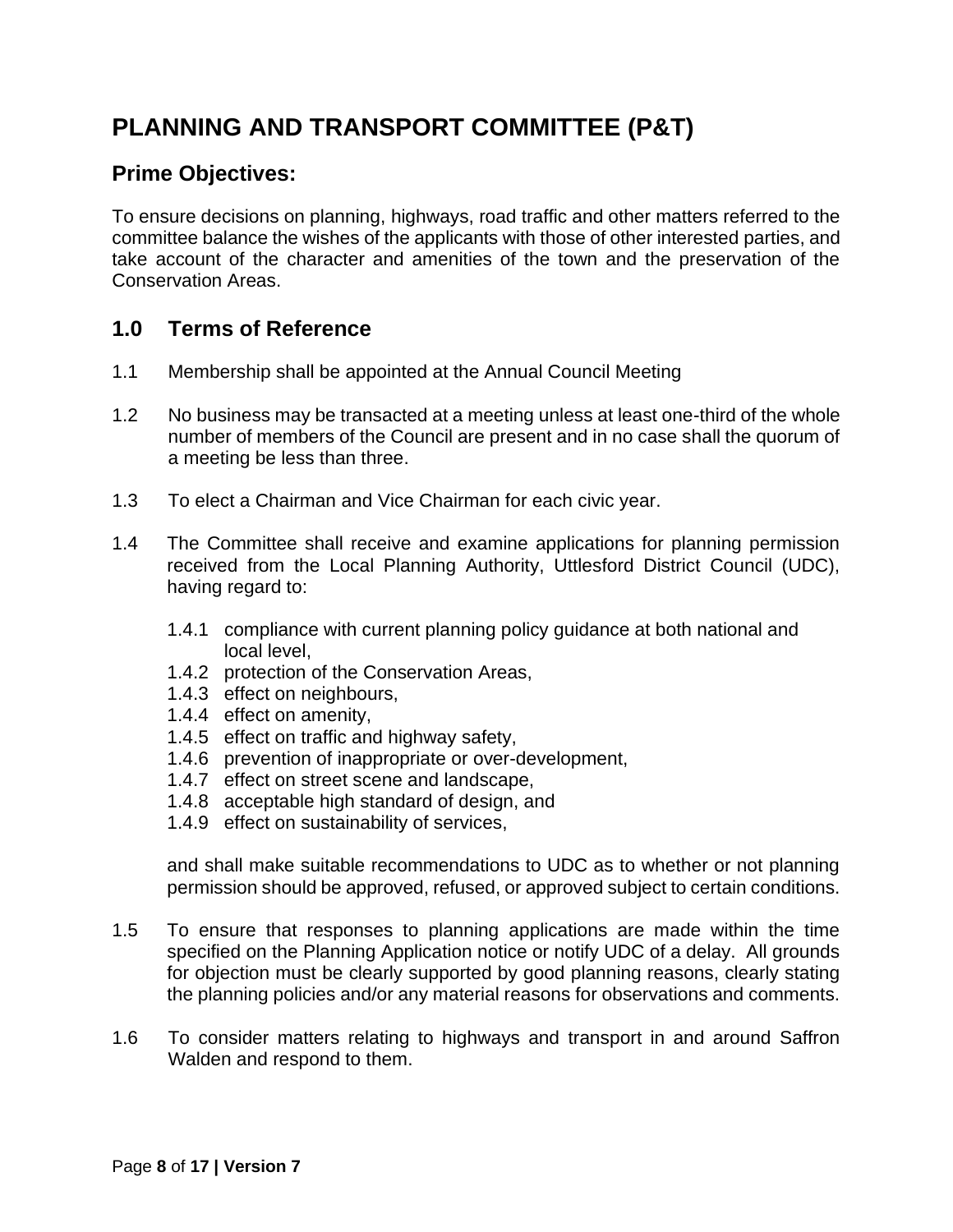### <span id="page-7-0"></span>**PLANNING AND TRANSPORT COMMITTEE (P&T)**

#### **Prime Objectives:**

To ensure decisions on planning, highways, road traffic and other matters referred to the committee balance the wishes of the applicants with those of other interested parties, and take account of the character and amenities of the town and the preservation of the Conservation Areas.

#### **1.0 Terms of Reference**

- 1.1 Membership shall be appointed at the Annual Council Meeting
- 1.2 No business may be transacted at a meeting unless at least one-third of the whole number of members of the Council are present and in no case shall the quorum of a meeting be less than three.
- 1.3 To elect a Chairman and Vice Chairman for each civic year.
- 1.4 The Committee shall receive and examine applications for planning permission received from the Local Planning Authority, Uttlesford District Council (UDC), having regard to:
	- 1.4.1 compliance with current planning policy guidance at both national and local level,
	- 1.4.2 protection of the Conservation Areas,
	- 1.4.3 effect on neighbours,
	- 1.4.4 effect on amenity,
	- 1.4.5 effect on traffic and highway safety,
	- 1.4.6 prevention of inappropriate or over-development,
	- 1.4.7 effect on street scene and landscape,
	- 1.4.8 acceptable high standard of design, and
	- 1.4.9 effect on sustainability of services,

and shall make suitable recommendations to UDC as to whether or not planning permission should be approved, refused, or approved subject to certain conditions.

- 1.5 To ensure that responses to planning applications are made within the time specified on the Planning Application notice or notify UDC of a delay. All grounds for objection must be clearly supported by good planning reasons, clearly stating the planning policies and/or any material reasons for observations and comments.
- 1.6 To consider matters relating to highways and transport in and around Saffron Walden and respond to them.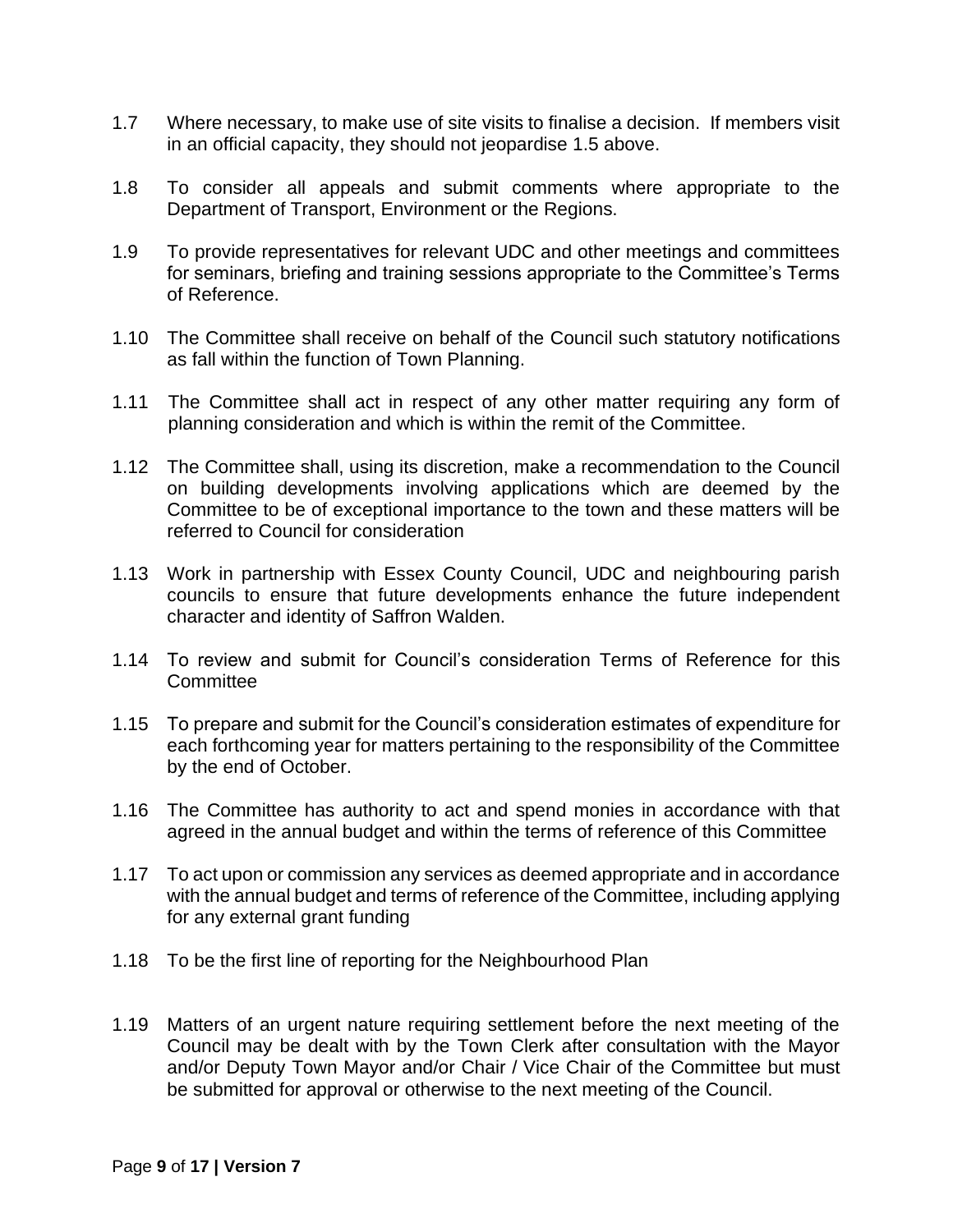- 1.7 Where necessary, to make use of site visits to finalise a decision. If members visit in an official capacity, they should not jeopardise 1.5 above.
- 1.8 To consider all appeals and submit comments where appropriate to the Department of Transport, Environment or the Regions.
- 1.9 To provide representatives for relevant UDC and other meetings and committees for seminars, briefing and training sessions appropriate to the Committee's Terms of Reference.
- 1.10 The Committee shall receive on behalf of the Council such statutory notifications as fall within the function of Town Planning.
- 1.11 The Committee shall act in respect of any other matter requiring any form of planning consideration and which is within the remit of the Committee.
- 1.12 The Committee shall, using its discretion, make a recommendation to the Council on building developments involving applications which are deemed by the Committee to be of exceptional importance to the town and these matters will be referred to Council for consideration
- 1.13 Work in partnership with Essex County Council, UDC and neighbouring parish councils to ensure that future developments enhance the future independent character and identity of Saffron Walden.
- 1.14 To review and submit for Council's consideration Terms of Reference for this **Committee**
- 1.15 To prepare and submit for the Council's consideration estimates of expenditure for each forthcoming year for matters pertaining to the responsibility of the Committee by the end of October.
- 1.16 The Committee has authority to act and spend monies in accordance with that agreed in the annual budget and within the terms of reference of this Committee
- 1.17 To act upon or commission any services as deemed appropriate and in accordance with the annual budget and terms of reference of the Committee, including applying for any external grant funding
- 1.18 To be the first line of reporting for the Neighbourhood Plan
- 1.19 Matters of an urgent nature requiring settlement before the next meeting of the Council may be dealt with by the Town Clerk after consultation with the Mayor and/or Deputy Town Mayor and/or Chair / Vice Chair of the Committee but must be submitted for approval or otherwise to the next meeting of the Council.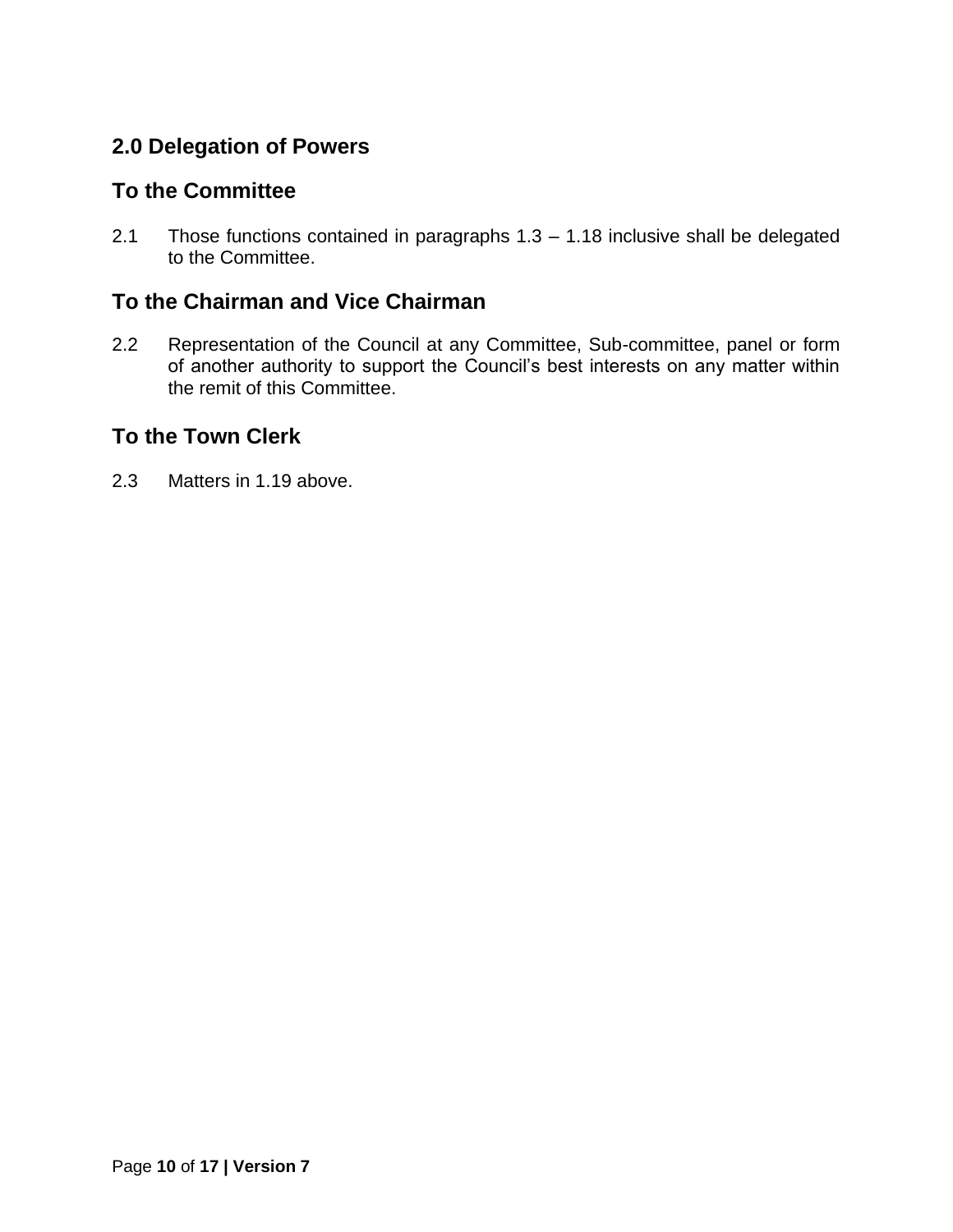#### **To the Committee**

2.1 Those functions contained in paragraphs 1.3 – 1.18 inclusive shall be delegated to the Committee.

#### **To the Chairman and Vice Chairman**

2.2 Representation of the Council at any Committee, Sub-committee, panel or form of another authority to support the Council's best interests on any matter within the remit of this Committee.

#### **To the Town Clerk**

2.3 Matters in 1.19 above.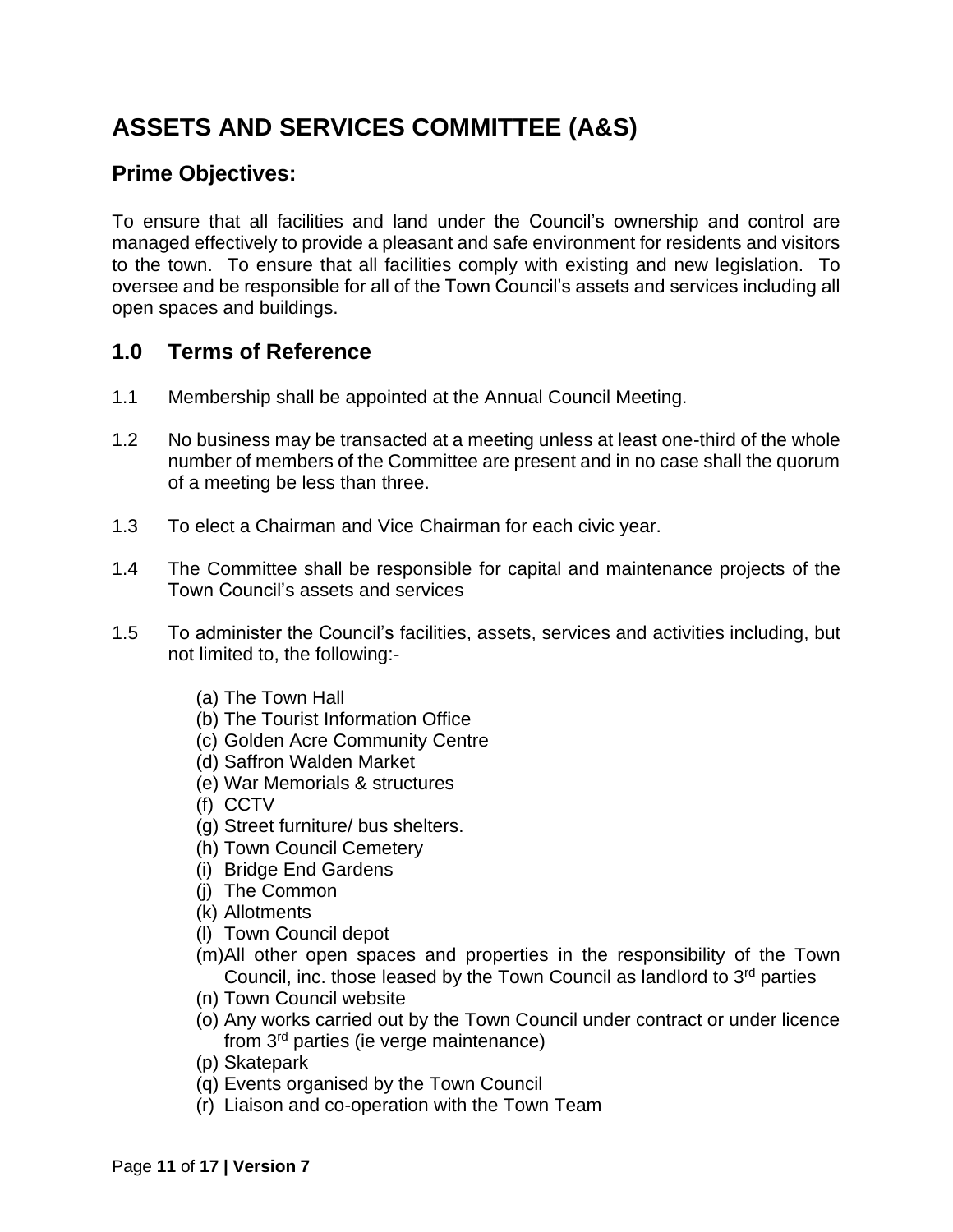### <span id="page-10-0"></span>**ASSETS AND SERVICES COMMITTEE (A&S)**

#### **Prime Objectives:**

To ensure that all facilities and land under the Council's ownership and control are managed effectively to provide a pleasant and safe environment for residents and visitors to the town. To ensure that all facilities comply with existing and new legislation. To oversee and be responsible for all of the Town Council's assets and services including all open spaces and buildings.

#### **1.0 Terms of Reference**

- 1.1 Membership shall be appointed at the Annual Council Meeting.
- 1.2 No business may be transacted at a meeting unless at least one-third of the whole number of members of the Committee are present and in no case shall the quorum of a meeting be less than three.
- 1.3 To elect a Chairman and Vice Chairman for each civic year.
- 1.4 The Committee shall be responsible for capital and maintenance projects of the Town Council's assets and services
- 1.5 To administer the Council's facilities, assets, services and activities including, but not limited to, the following:-
	- (a) The Town Hall
	- (b) The Tourist Information Office
	- (c) Golden Acre Community Centre
	- (d) Saffron Walden Market
	- (e) War Memorials & structures
	- (f) CCTV
	- (g) Street furniture/ bus shelters.
	- (h) Town Council Cemetery
	- (i) Bridge End Gardens
	- (j) The Common
	- (k) Allotments
	- (l) Town Council depot
	- (m)All other open spaces and properties in the responsibility of the Town Council, inc. those leased by the Town Council as landlord to  $3<sup>rd</sup>$  parties
	- (n) Town Council website
	- (o) Any works carried out by the Town Council under contract or under licence from 3rd parties (ie verge maintenance)
	- (p) Skatepark
	- (q) Events organised by the Town Council
	- (r) Liaison and co-operation with the Town Team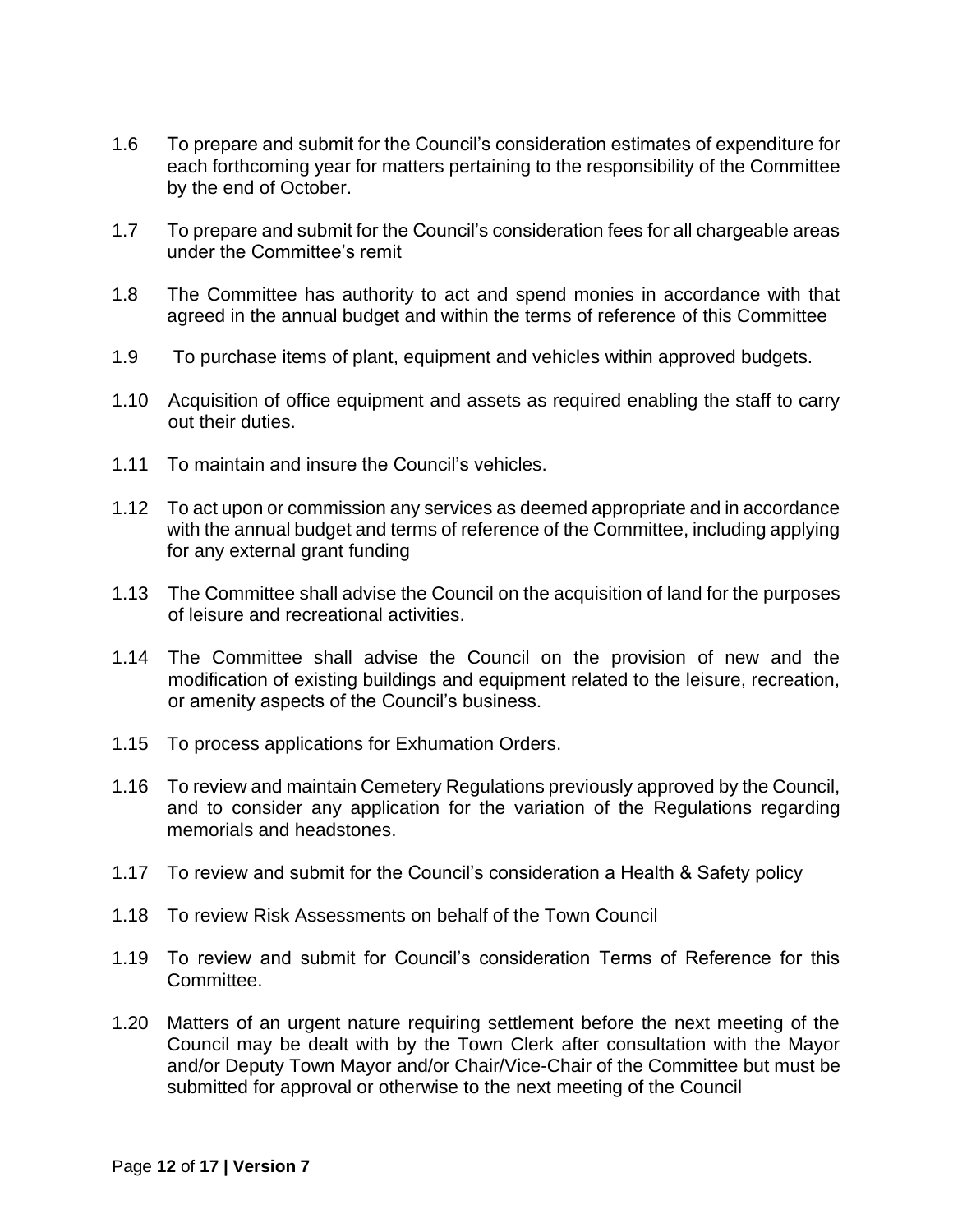- 1.6 To prepare and submit for the Council's consideration estimates of expenditure for each forthcoming year for matters pertaining to the responsibility of the Committee by the end of October.
- 1.7 To prepare and submit for the Council's consideration fees for all chargeable areas under the Committee's remit
- 1.8 The Committee has authority to act and spend monies in accordance with that agreed in the annual budget and within the terms of reference of this Committee
- 1.9 To purchase items of plant, equipment and vehicles within approved budgets.
- 1.10 Acquisition of office equipment and assets as required enabling the staff to carry out their duties.
- 1.11 To maintain and insure the Council's vehicles.
- 1.12 To act upon or commission any services as deemed appropriate and in accordance with the annual budget and terms of reference of the Committee, including applying for any external grant funding
- 1.13 The Committee shall advise the Council on the acquisition of land for the purposes of leisure and recreational activities.
- 1.14 The Committee shall advise the Council on the provision of new and the modification of existing buildings and equipment related to the leisure, recreation, or amenity aspects of the Council's business.
- 1.15 To process applications for Exhumation Orders.
- 1.16 To review and maintain Cemetery Regulations previously approved by the Council, and to consider any application for the variation of the Regulations regarding memorials and headstones.
- 1.17 To review and submit for the Council's consideration a Health & Safety policy
- 1.18 To review Risk Assessments on behalf of the Town Council
- 1.19 To review and submit for Council's consideration Terms of Reference for this Committee.
- 1.20 Matters of an urgent nature requiring settlement before the next meeting of the Council may be dealt with by the Town Clerk after consultation with the Mayor and/or Deputy Town Mayor and/or Chair/Vice-Chair of the Committee but must be submitted for approval or otherwise to the next meeting of the Council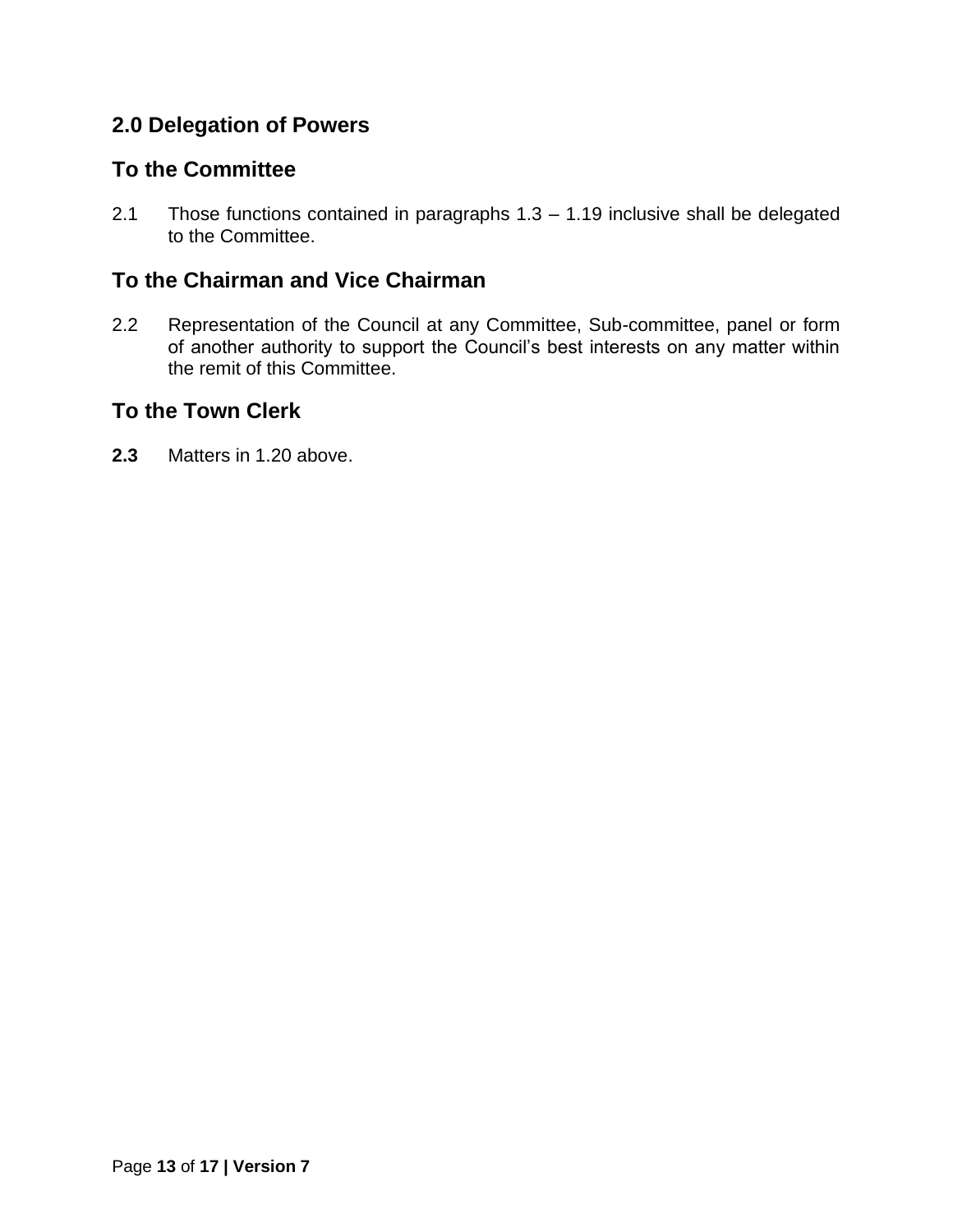#### **To the Committee**

2.1 Those functions contained in paragraphs 1.3 – 1.19 inclusive shall be delegated to the Committee.

#### **To the Chairman and Vice Chairman**

2.2 Representation of the Council at any Committee, Sub-committee, panel or form of another authority to support the Council's best interests on any matter within the remit of this Committee.

#### **To the Town Clerk**

**2.3** Matters in 1.20 above.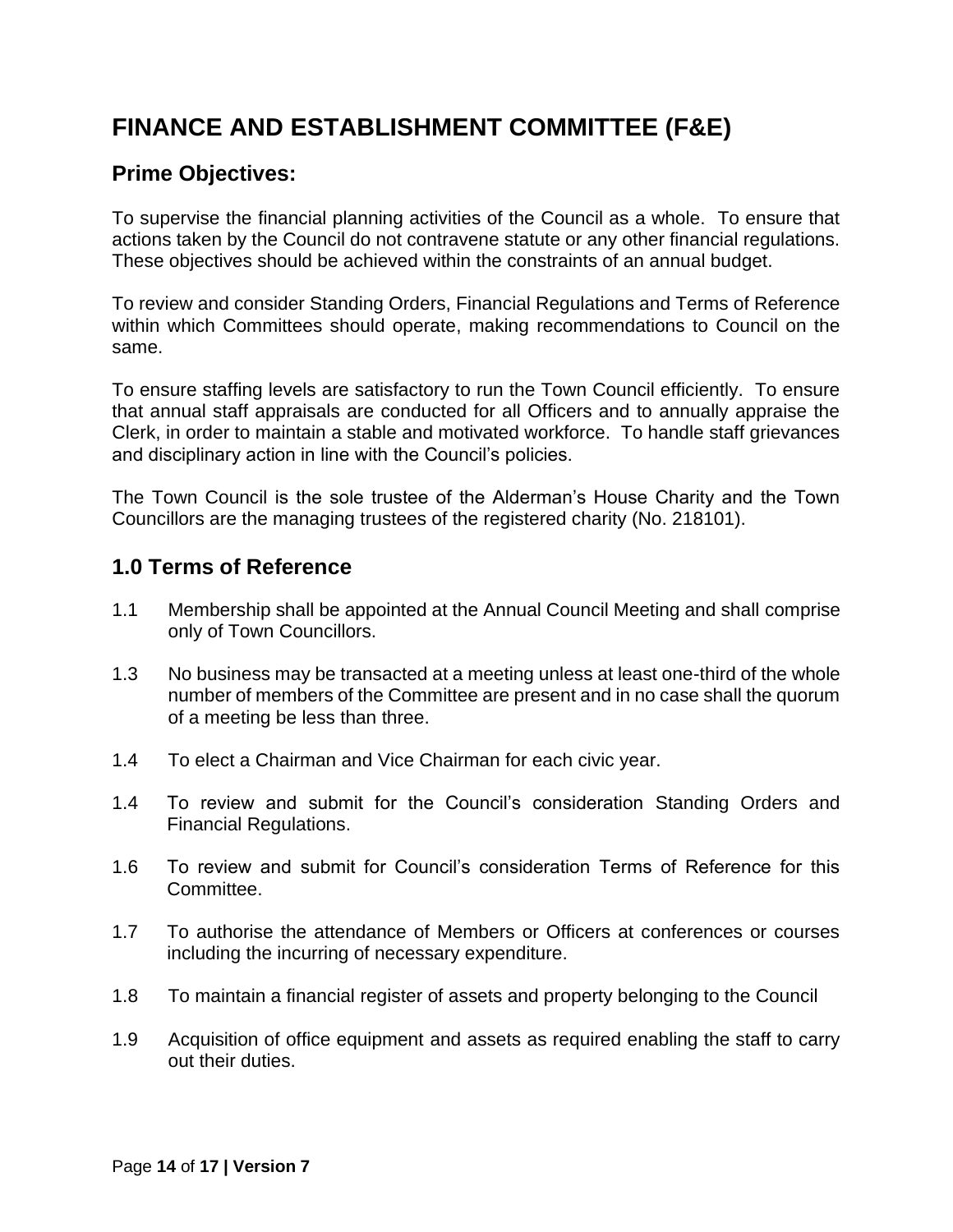### <span id="page-13-0"></span>**FINANCE AND ESTABLISHMENT COMMITTEE (F&E)**

#### **Prime Objectives:**

To supervise the financial planning activities of the Council as a whole. To ensure that actions taken by the Council do not contravene statute or any other financial regulations. These objectives should be achieved within the constraints of an annual budget.

To review and consider Standing Orders, Financial Regulations and Terms of Reference within which Committees should operate, making recommendations to Council on the same.

To ensure staffing levels are satisfactory to run the Town Council efficiently. To ensure that annual staff appraisals are conducted for all Officers and to annually appraise the Clerk, in order to maintain a stable and motivated workforce. To handle staff grievances and disciplinary action in line with the Council's policies.

The Town Council is the sole trustee of the Alderman's House Charity and the Town Councillors are the managing trustees of the registered charity (No. 218101).

#### **1.0 Terms of Reference**

- 1.1 Membership shall be appointed at the Annual Council Meeting and shall comprise only of Town Councillors.
- 1.3 No business may be transacted at a meeting unless at least one-third of the whole number of members of the Committee are present and in no case shall the quorum of a meeting be less than three.
- 1.4 To elect a Chairman and Vice Chairman for each civic year.
- 1.4 To review and submit for the Council's consideration Standing Orders and Financial Regulations.
- 1.6 To review and submit for Council's consideration Terms of Reference for this Committee.
- 1.7 To authorise the attendance of Members or Officers at conferences or courses including the incurring of necessary expenditure.
- 1.8 To maintain a financial register of assets and property belonging to the Council
- 1.9 Acquisition of office equipment and assets as required enabling the staff to carry out their duties.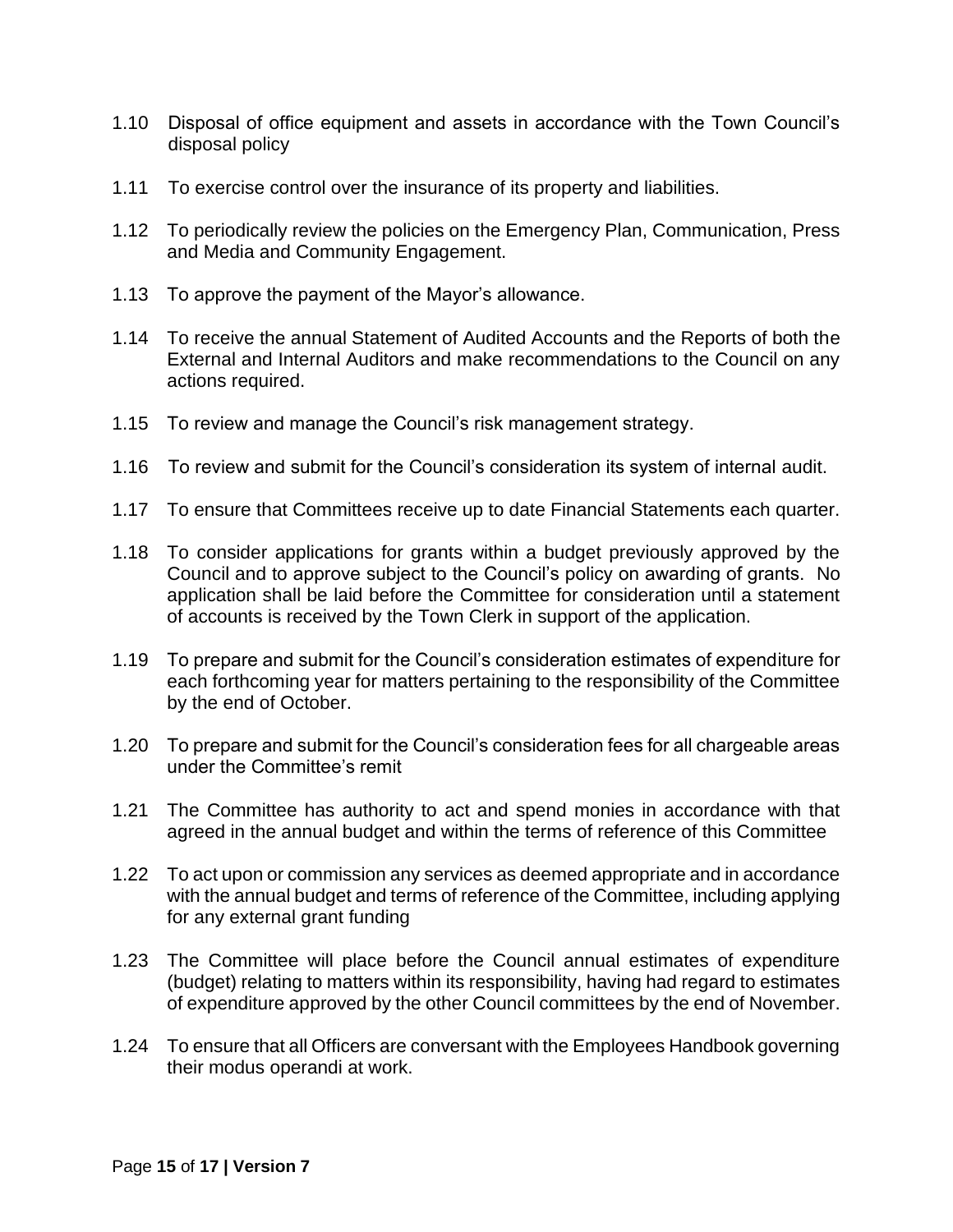- 1.10 Disposal of office equipment and assets in accordance with the Town Council's disposal policy
- 1.11 To exercise control over the insurance of its property and liabilities.
- 1.12 To periodically review the policies on the Emergency Plan, Communication, Press and Media and Community Engagement.
- 1.13 To approve the payment of the Mayor's allowance.
- 1.14 To receive the annual Statement of Audited Accounts and the Reports of both the External and Internal Auditors and make recommendations to the Council on any actions required.
- 1.15 To review and manage the Council's risk management strategy.
- 1.16 To review and submit for the Council's consideration its system of internal audit.
- 1.17 To ensure that Committees receive up to date Financial Statements each quarter.
- 1.18 To consider applications for grants within a budget previously approved by the Council and to approve subject to the Council's policy on awarding of grants. No application shall be laid before the Committee for consideration until a statement of accounts is received by the Town Clerk in support of the application.
- 1.19 To prepare and submit for the Council's consideration estimates of expenditure for each forthcoming year for matters pertaining to the responsibility of the Committee by the end of October.
- 1.20 To prepare and submit for the Council's consideration fees for all chargeable areas under the Committee's remit
- 1.21 The Committee has authority to act and spend monies in accordance with that agreed in the annual budget and within the terms of reference of this Committee
- 1.22 To act upon or commission any services as deemed appropriate and in accordance with the annual budget and terms of reference of the Committee, including applying for any external grant funding
- 1.23 The Committee will place before the Council annual estimates of expenditure (budget) relating to matters within its responsibility, having had regard to estimates of expenditure approved by the other Council committees by the end of November.
- 1.24 To ensure that all Officers are conversant with the Employees Handbook governing their modus operandi at work.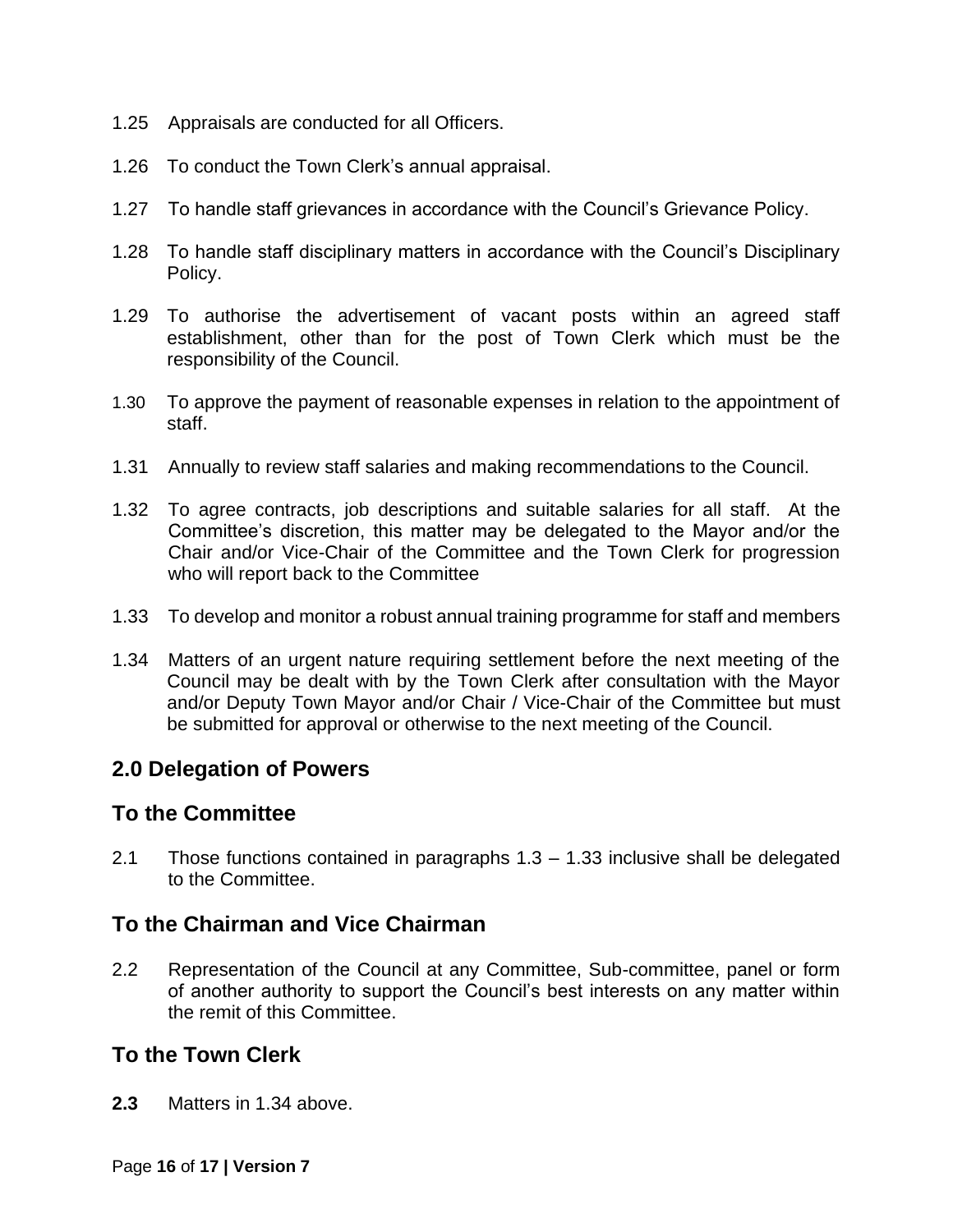- 1.25 Appraisals are conducted for all Officers.
- 1.26 To conduct the Town Clerk's annual appraisal.
- 1.27 To handle staff grievances in accordance with the Council's Grievance Policy.
- 1.28 To handle staff disciplinary matters in accordance with the Council's Disciplinary Policy.
- 1.29 To authorise the advertisement of vacant posts within an agreed staff establishment, other than for the post of Town Clerk which must be the responsibility of the Council.
- 1.30 To approve the payment of reasonable expenses in relation to the appointment of staff.
- 1.31 Annually to review staff salaries and making recommendations to the Council.
- 1.32 To agree contracts, job descriptions and suitable salaries for all staff. At the Committee's discretion, this matter may be delegated to the Mayor and/or the Chair and/or Vice-Chair of the Committee and the Town Clerk for progression who will report back to the Committee
- 1.33 To develop and monitor a robust annual training programme for staff and members
- 1.34 Matters of an urgent nature requiring settlement before the next meeting of the Council may be dealt with by the Town Clerk after consultation with the Mayor and/or Deputy Town Mayor and/or Chair / Vice-Chair of the Committee but must be submitted for approval or otherwise to the next meeting of the Council.

#### **To the Committee**

2.1 Those functions contained in paragraphs 1.3 – 1.33 inclusive shall be delegated to the Committee.

#### **To the Chairman and Vice Chairman**

2.2 Representation of the Council at any Committee, Sub-committee, panel or form of another authority to support the Council's best interests on any matter within the remit of this Committee.

#### **To the Town Clerk**

**2.3** Matters in 1.34 above.